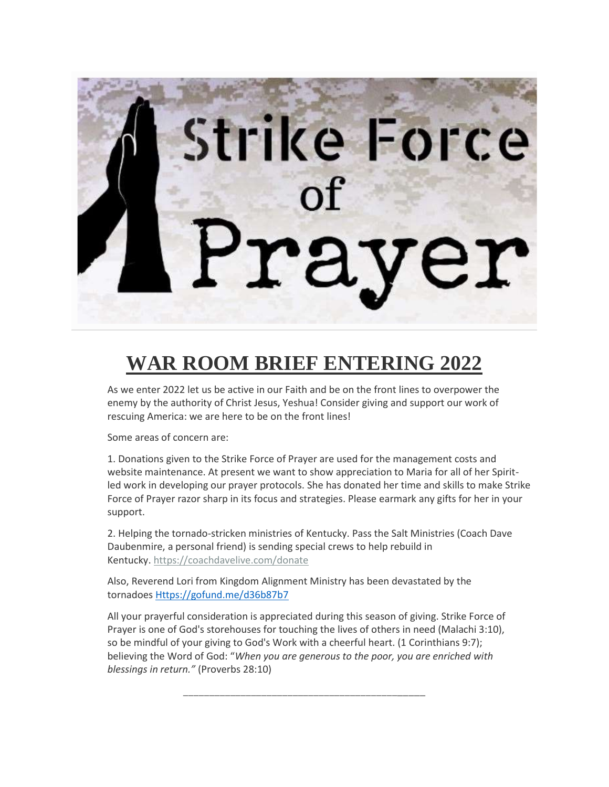

# **WAR ROOM BRIEF ENTERING 2022**

As we enter 2022 let us be active in our Faith and be on the front lines to overpower the enemy by the authority of Christ Jesus, Yeshua! Consider giving and support our work of rescuing America: we are here to be on the front lines!

Some areas of concern are:

1. Donations given to the Strike Force of Prayer are used for the management costs and website maintenance. At present we want to show appreciation to Maria for all of her Spiritled work in developing our prayer protocols. She has donated her time and skills to make Strike Force of Prayer razor sharp in its focus and strategies. Please earmark any gifts for her in your support.

2. Helping the tornado-stricken ministries of Kentucky. Pass the Salt Ministries (Coach Dave Daubenmire, a personal friend) is sending special crews to help rebuild in Kentucky. <https://coachdavelive.com/donate>

Also, Reverend Lori from Kingdom Alignment Ministry has been devastated by the tornadoes [Https://gofund.me/d36b87b7](https://gofund.me/d36b87b7)

All your prayerful consideration is appreciated during this season of giving. Strike Force of Prayer is one of God's storehouses for touching the lives of others in need (Malachi 3:10), so be mindful of your giving to God's Work with a cheerful heart. (1 Corinthians 9:7); believing the Word of God: "*When you are generous to the poor, you are enriched with blessings in return."* (Proverbs 28:10)

\_\_\_\_\_\_\_\_\_\_\_\_\_\_\_\_\_\_\_\_\_\_\_\_\_\_\_\_\_\_\_\_\_\_\_\_\_\_\_\_\_\_\_\_\_\_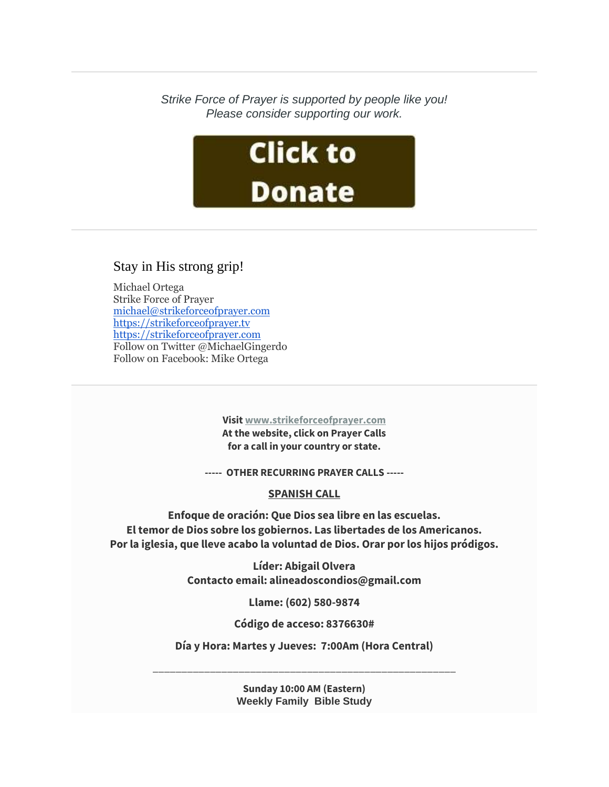*Strike Force of Prayer is supported by people like you! Please consider supporting our work.*



## Stay in His strong grip!

Michael Ortega Strike Force of Prayer [michael@strikeforceofprayer.com](http://mailing.strikeforceofprayer.com/lt.php?tid=Kk5QV1RWUQxUAE8DXQICSwYGVF1OVlNUURUODAsGVQgGCwIEAw1MUlAHW1MFBFZLAgVSAk4AAA4EFQBeV1RMVgAAU18DUQACUAIDTVJUB14LAAZVTgQGUgMVDAFWAUwIVFNTS1UFVVFQAQAAXVYCAg) [https://strikeforceofprayer.tv](https://strikeforceofprayer.tv/) [https://strikeforceofprayer.com](https://strikeforceofprayer.us17.list-manage.com/track/click?u=30e1fdc9ef72d2ad852be26e9&id=88763f3751&e=cf8e0c7e26) Follow on Twitter @MichaelGingerdo Follow on Facebook: Mike Ortega

> **Visit [www.strikeforceofprayer.com](http://mailing.strikeforceofprayer.com/lt.php?tid=Kk4CUlNVUwJVVE8CVwMMSwZRW1ZODFJTCBVZDQEHBwgHBlUDBlVMDVcEWgRSAABLVwwEBk4AUwUAFVoJAwZMCQcEAFIHA1NSUlJXTVJUB14LAAZVTgQGUgMVDAFWAUwIVFNTS1UFVVFQAQAAXVYCAg) At the website, click on Prayer Calls for a call in your country or state.**

**----- OTHER RECURRING PRAYER CALLS -----**

## **SPANISH CALL**

**Enfoque de oración: Que Dios sea libre en las escuelas. El temor de Dios sobre los gobiernos. Las libertades de los Americanos. Por la iglesia, que lleve acabo la voluntad de Dios. Orar por los hijos pródigos.**

> **Líder: Abigail Olvera Contacto email: alineadoscondios@gmail.com**

> > **Llame: (602) 580-9874**

**Código de acceso: 8376630#**

**Día y Hora: Martes y Jueves: 7:00Am (Hora Central)**

\_\_\_\_\_\_\_\_\_\_\_\_\_\_\_\_\_\_\_\_\_\_\_\_\_\_\_\_\_\_\_\_\_\_\_\_\_\_\_\_\_\_\_\_\_\_\_\_\_\_\_\_\_

**Sunday 10:00 AM (Eastern) Weekly Family Bible Study**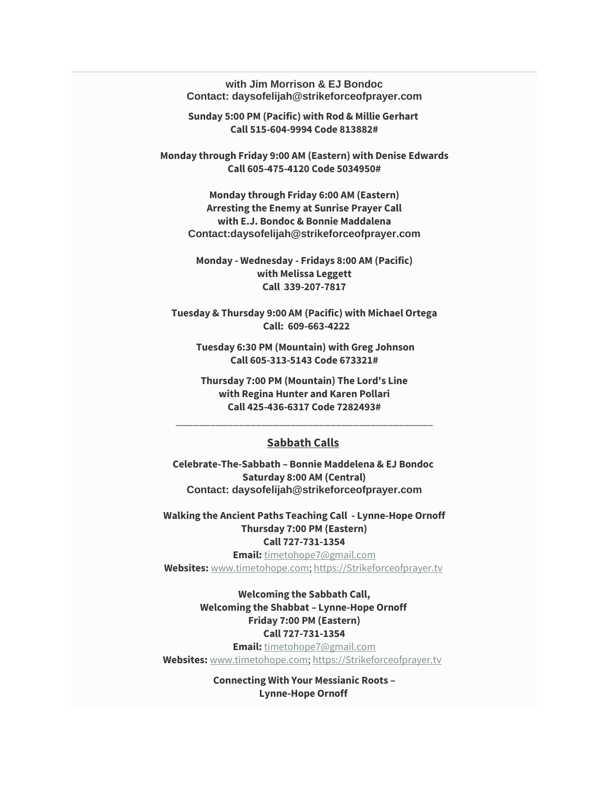**with Jim Morrison & EJ Bondoc Contact: daysofelijah@strikeforceofprayer.com**

**Sunday 5:00 PM (Pacific) with Rod & Millie Gerhart Call 515-604-9994 Code 813882#**

**Monday through Friday 9:00 AM (Eastern) with Denise Edwards Call 605-475-4120 Code 5034950#**

**Monday through Friday 6:00 AM (Eastern) Arresting the Enemy at Sunrise Prayer Call with E.J. Bondoc & Bonnie Maddalena Contact:daysofelijah@strikeforceofprayer.com**

**Monday - Wednesday - Fridays 8:00 AM (Pacific) with Melissa Leggett Call 339-207-7817**

**Tuesday & Thursday 9:00 AM (Pacific) with Michael Ortega Call: 609-663-4222**

**Tuesday 6:30 PM (Mountain) with Greg Johnson Call 605-313-5143 Code 673321#**

**Thursday 7:00 PM (Mountain) The Lord's Line with Regina Hunter and Karen Pollari Call 425-436-6317 Code 7282493#**

#### **Sabbath Calls**

\_\_\_\_\_\_\_\_\_\_\_\_\_\_\_\_\_\_\_\_\_\_\_\_\_\_\_\_\_\_\_\_\_\_\_\_\_\_\_\_\_\_\_\_\_

**Celebrate-The-Sabbath – Bonnie Maddelena & EJ Bondoc Saturday 8:00 AM (Central) Contact: daysofelijah@strikeforceofprayer.com**

**Walking the Ancient Paths Teaching Call - Lynne-Hope Ornoff Thursday 7:00 PM (Eastern) Call 727-731-1354**

**Email:** [timetohope7@gmail.com](mailto:timetohope7@gmail.com) **Websites:** [www.timetohope.com;](http://www.timetohope.com/) [https://Strikeforceofprayer.tv](https://strikeforceofprayer.tv/)

> **Welcoming the Sabbath Call, Welcoming the Shabbat – Lynne-Hope Ornoff Friday 7:00 PM (Eastern) Call 727-731-1354**

**Email:** [timetohope7@gmail.com](mailto:timetohope7@gmail.com) **Websites:** [www.timetohope.com;](http://www.timetohope.com/) [https://Strikeforceofprayer.tv](https://strikeforceofprayer.tv/)

> **Connecting With Your Messianic Roots – Lynne-Hope Ornoff**